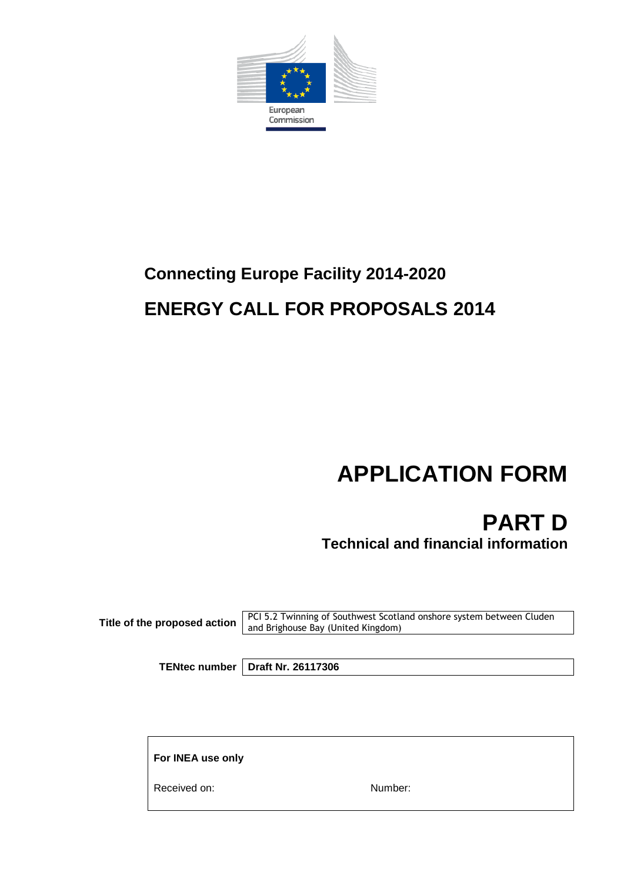

# **Connecting Europe Facility 2014-2020 ENERGY CALL FOR PROPOSALS 2014**

# **APPLICATION FORM**

**PART D Technical and financial information**

**Title of the proposed action** PCI 5.2 Twinning of Southwest Scotland onshore system between Cluden and Brighouse Bay (United Kingdom)

**TENtec number Draft Nr. 26117306**

**For INEA use only**

Received on: Number: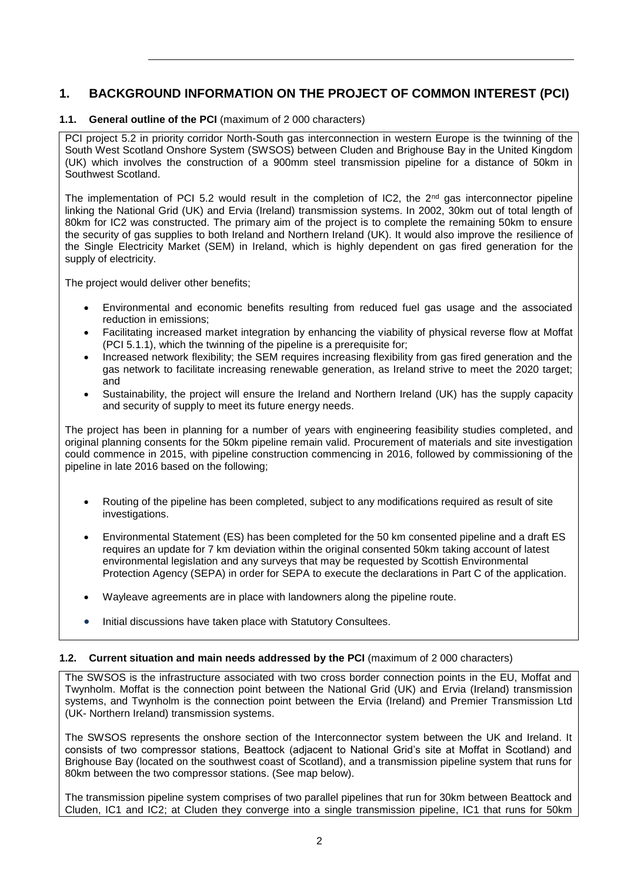# **1. BACKGROUND INFORMATION ON THE PROJECT OF COMMON INTEREST (PCI)**

# **1.1. General outline of the PCI** (maximum of 2 000 characters)

PCI project 5.2 in priority corridor North-South gas interconnection in western Europe is the twinning of the South West Scotland Onshore System (SWSOS) between Cluden and Brighouse Bay in the United Kingdom (UK) which involves the construction of a 900mm steel transmission pipeline for a distance of 50km in Southwest Scotland.

The implementation of PCI 5.2 would result in the completion of IC2, the  $2<sup>nd</sup>$  gas interconnector pipeline linking the National Grid (UK) and Ervia (Ireland) transmission systems. In 2002, 30km out of total length of 80km for IC2 was constructed. The primary aim of the project is to complete the remaining 50km to ensure the security of gas supplies to both Ireland and Northern Ireland (UK). It would also improve the resilience of the Single Electricity Market (SEM) in Ireland, which is highly dependent on gas fired generation for the supply of electricity.

The project would deliver other benefits;

- Environmental and economic benefits resulting from reduced fuel gas usage and the associated reduction in emissions;
- Facilitating increased market integration by enhancing the viability of physical reverse flow at Moffat  $(PCI 5.1.1)$ , which the twinning of the pipeline is a prerequisite for:
- Increased network flexibility; the SEM requires increasing flexibility from gas fired generation and the gas network to facilitate increasing renewable generation, as Ireland strive to meet the 2020 target; and
- Sustainability, the project will ensure the Ireland and Northern Ireland (UK) has the supply capacity and security of supply to meet its future energy needs.

The project has been in planning for a number of years with engineering feasibility studies completed, and original planning consents for the 50km pipeline remain valid. Procurement of materials and site investigation could commence in 2015, with pipeline construction commencing in 2016, followed by commissioning of the pipeline in late 2016 based on the following;

- Routing of the pipeline has been completed, subject to any modifications required as result of site investigations.
- Environmental Statement (ES) has been completed for the 50 km consented pipeline and a draft ES requires an update for 7 km deviation within the original consented 50km taking account of latest environmental legislation and any surveys that may be requested by Scottish Environmental Protection Agency (SEPA) in order for SEPA to execute the declarations in Part C of the application.
- Wayleave agreements are in place with landowners along the pipeline route.
- Initial discussions have taken place with Statutory Consultees.

#### **1.2. Current situation and main needs addressed by the PCI** (maximum of 2 000 characters)

The SWSOS is the infrastructure associated with two cross border connection points in the EU, Moffat and Twynholm. Moffat is the connection point between the National Grid (UK) and Ervia (Ireland) transmission systems, and Twynholm is the connection point between the Ervia (Ireland) and Premier Transmission Ltd (UK- Northern Ireland) transmission systems.

The SWSOS represents the onshore section of the Interconnector system between the UK and Ireland. It consists of two compressor stations, Beattock (adjacent to National Grid's site at Moffat in Scotland) and Brighouse Bay (located on the southwest coast of Scotland), and a transmission pipeline system that runs for 80km between the two compressor stations. (See map below).

The transmission pipeline system comprises of two parallel pipelines that run for 30km between Beattock and Cluden, IC1 and IC2; at Cluden they converge into a single transmission pipeline, IC1 that runs for 50km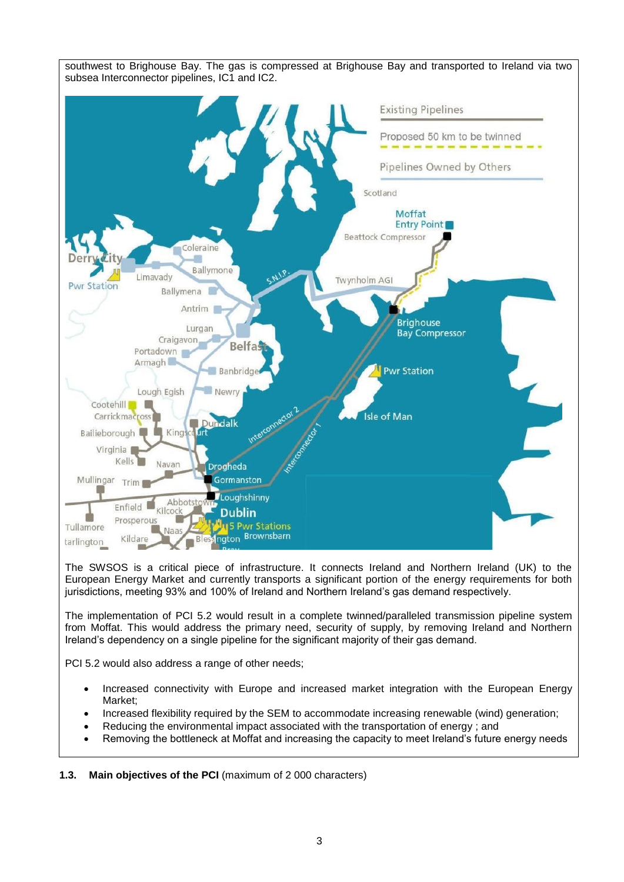

The SWSOS is a critical piece of infrastructure. It connects Ireland and Northern Ireland (UK) to the European Energy Market and currently transports a significant portion of the energy requirements for both jurisdictions, meeting 93% and 100% of Ireland and Northern Ireland's gas demand respectively.

The implementation of PCI 5.2 would result in a complete twinned/paralleled transmission pipeline system from Moffat. This would address the primary need, security of supply, by removing Ireland and Northern Ireland's dependency on a single pipeline for the significant majority of their gas demand.

PCI 5.2 would also address a range of other needs;

- Increased connectivity with Europe and increased market integration with the European Energy Market;
- Increased flexibility required by the SEM to accommodate increasing renewable (wind) generation;
- Reducing the environmental impact associated with the transportation of energy ; and
- Removing the bottleneck at Moffat and increasing the capacity to meet Ireland's future energy needs

**1.3. Main objectives of the PCI** (maximum of 2 000 characters)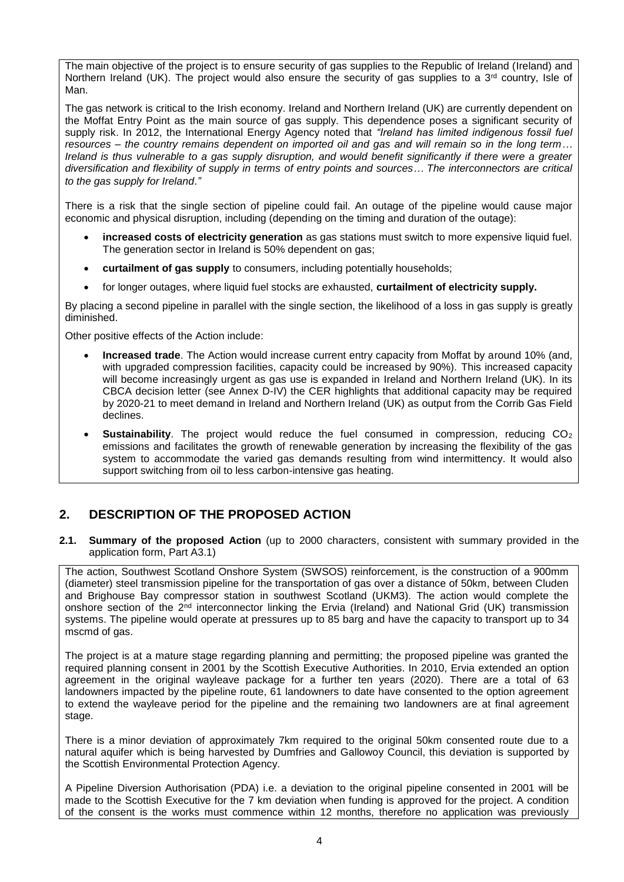The main objective of the project is to ensure security of gas supplies to the Republic of Ireland (Ireland) and Northern Ireland (UK). The project would also ensure the security of gas supplies to a 3<sup>rd</sup> country, Isle of Man.

The gas network is critical to the Irish economy. Ireland and Northern Ireland (UK) are currently dependent on the Moffat Entry Point as the main source of gas supply. This dependence poses a significant security of supply risk. In 2012, the International Energy Agency noted that *"Ireland has limited indigenous fossil fuel resources – the country remains dependent on imported oil and gas and will remain so in the long term… Ireland is thus vulnerable to a gas supply disruption, and would benefit significantly if there were a greater diversification and flexibility of supply in terms of entry points and sources… The interconnectors are critical to the gas supply for Ireland*.*"*

There is a risk that the single section of pipeline could fail. An outage of the pipeline would cause major economic and physical disruption, including (depending on the timing and duration of the outage):

- **increased costs of electricity generation** as gas stations must switch to more expensive liquid fuel. The generation sector in Ireland is 50% dependent on gas;
- **curtailment of gas supply** to consumers, including potentially households;
- for longer outages, where liquid fuel stocks are exhausted, **curtailment of electricity supply.**

By placing a second pipeline in parallel with the single section, the likelihood of a loss in gas supply is greatly diminished.

Other positive effects of the Action include:

- **Increased trade**. The Action would increase current entry capacity from Moffat by around 10% (and, with upgraded compression facilities, capacity could be increased by 90%). This increased capacity will become increasingly urgent as gas use is expanded in Ireland and Northern Ireland (UK). In its CBCA decision letter (see Annex D-IV) the CER highlights that additional capacity may be required by 2020-21 to meet demand in Ireland and Northern Ireland (UK) as output from the Corrib Gas Field declines.
- **Sustainability**. The project would reduce the fuel consumed in compression, reducing CO<sub>2</sub> emissions and facilitates the growth of renewable generation by increasing the flexibility of the gas system to accommodate the varied gas demands resulting from wind intermittency. It would also support switching from oil to less carbon-intensive gas heating.

# **2. DESCRIPTION OF THE PROPOSED ACTION**

#### **2.1. Summary of the proposed Action** (up to 2000 characters, consistent with summary provided in the application form, Part A3.1)

The action, Southwest Scotland Onshore System (SWSOS) reinforcement, is the construction of a 900mm (diameter) steel transmission pipeline for the transportation of gas over a distance of 50km, between Cluden and Brighouse Bay compressor station in southwest Scotland (UKM3). The action would complete the onshore section of the 2<sup>nd</sup> interconnector linking the Ervia (Ireland) and National Grid (UK) transmission systems. The pipeline would operate at pressures up to 85 barg and have the capacity to transport up to 34 mscmd of gas.

The project is at a mature stage regarding planning and permitting; the proposed pipeline was granted the required planning consent in 2001 by the Scottish Executive Authorities. In 2010, Ervia extended an option agreement in the original wayleave package for a further ten years (2020). There are a total of 63 landowners impacted by the pipeline route, 61 landowners to date have consented to the option agreement to extend the wayleave period for the pipeline and the remaining two landowners are at final agreement stage.

There is a minor deviation of approximately 7km required to the original 50km consented route due to a natural aquifer which is being harvested by Dumfries and Gallowoy Council, this deviation is supported by the Scottish Environmental Protection Agency.

A Pipeline Diversion Authorisation (PDA) i.e. a deviation to the original pipeline consented in 2001 will be made to the Scottish Executive for the 7 km deviation when funding is approved for the project. A condition of the consent is the works must commence within 12 months, therefore no application was previously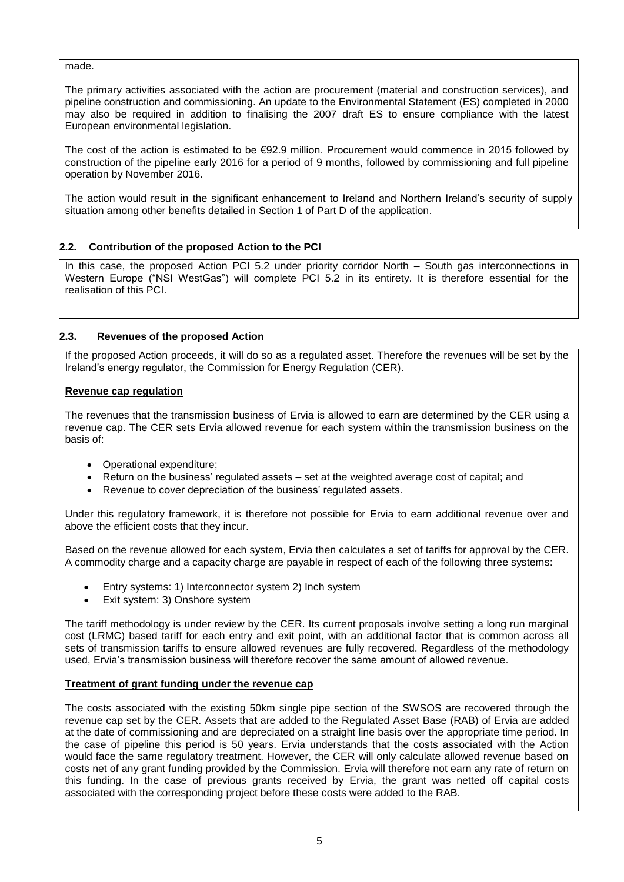made.

The primary activities associated with the action are procurement (material and construction services), and pipeline construction and commissioning. An update to the Environmental Statement (ES) completed in 2000 may also be required in addition to finalising the 2007 draft ES to ensure compliance with the latest European environmental legislation.

The cost of the action is estimated to be €92.9 million. Procurement would commence in 2015 followed by construction of the pipeline early 2016 for a period of 9 months, followed by commissioning and full pipeline operation by November 2016.

The action would result in the significant enhancement to Ireland and Northern Ireland's security of supply situation among other benefits detailed in Section 1 of Part D of the application.

# **2.2. Contribution of the proposed Action to the PCI**

In this case, the proposed Action PCI 5.2 under priority corridor North – South gas interconnections in Western Europe ("NSI WestGas") will complete PCI 5.2 in its entirety. It is therefore essential for the realisation of this PCI.

# **2.3. Revenues of the proposed Action**

If the proposed Action proceeds, it will do so as a regulated asset. Therefore the revenues will be set by the Ireland's energy regulator, the Commission for Energy Regulation (CER).

#### **Revenue cap regulation**

The revenues that the transmission business of Ervia is allowed to earn are determined by the CER using a revenue cap. The CER sets Ervia allowed revenue for each system within the transmission business on the basis of:

- Operational expenditure;
- $\bullet$  Return on the business' regulated assets set at the weighted average cost of capital; and
- Revenue to cover depreciation of the business' regulated assets.

Under this regulatory framework, it is therefore not possible for Ervia to earn additional revenue over and above the efficient costs that they incur.

Based on the revenue allowed for each system, Ervia then calculates a set of tariffs for approval by the CER. A commodity charge and a capacity charge are payable in respect of each of the following three systems:

- Entry systems: 1) Interconnector system 2) Inch system
- Exit system: 3) Onshore system

The tariff methodology is under review by the CER. Its current proposals involve setting a long run marginal cost (LRMC) based tariff for each entry and exit point, with an additional factor that is common across all sets of transmission tariffs to ensure allowed revenues are fully recovered. Regardless of the methodology used, Ervia's transmission business will therefore recover the same amount of allowed revenue.

# **Treatment of grant funding under the revenue cap**

The costs associated with the existing 50km single pipe section of the SWSOS are recovered through the revenue cap set by the CER. Assets that are added to the Regulated Asset Base (RAB) of Ervia are added at the date of commissioning and are depreciated on a straight line basis over the appropriate time period. In the case of pipeline this period is 50 years. Ervia understands that the costs associated with the Action would face the same regulatory treatment. However, the CER will only calculate allowed revenue based on costs net of any grant funding provided by the Commission. Ervia will therefore not earn any rate of return on this funding. In the case of previous grants received by Ervia, the grant was netted off capital costs associated with the corresponding project before these costs were added to the RAB.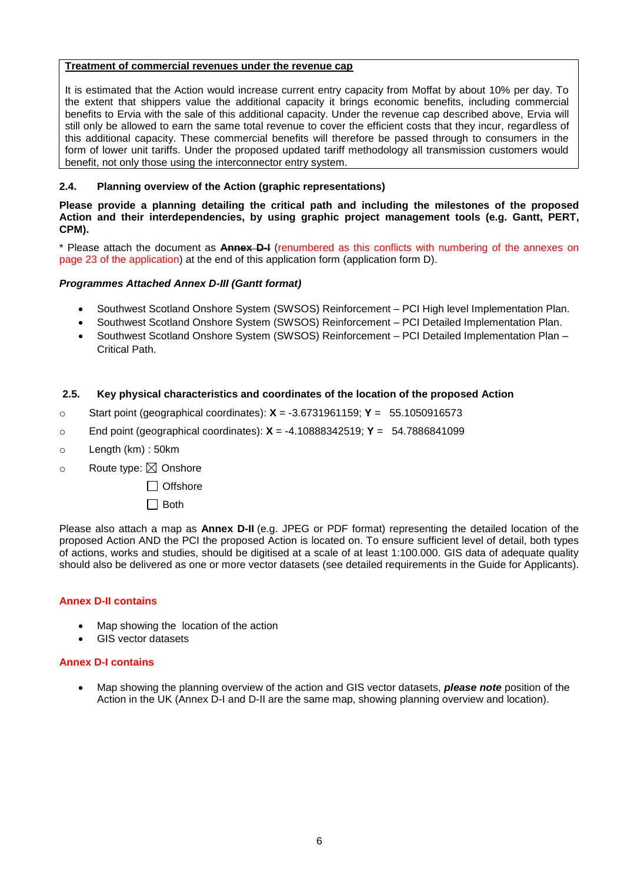#### **Treatment of commercial revenues under the revenue cap**

It is estimated that the Action would increase current entry capacity from Moffat by about 10% per day. To the extent that shippers value the additional capacity it brings economic benefits, including commercial benefits to Ervia with the sale of this additional capacity. Under the revenue cap described above, Ervia will still only be allowed to earn the same total revenue to cover the efficient costs that they incur, regardless of this additional capacity. These commercial benefits will therefore be passed through to consumers in the form of lower unit tariffs. Under the proposed updated tariff methodology all transmission customers would benefit, not only those using the interconnector entry system.

# **2.4. Planning overview of the Action (graphic representations)**

**Please provide a [planning](http://www.macmillandictionary.com/search/british/direct/?q=planning) detailing the critical path and including the milestones of the proposed Action and their interdependencies, by using graphic project management [tools](http://www.macmillandictionary.com/search/british/direct/?q=tool) (e.g. Gantt, PERT, CPM).**

\* Please attach the document as **Annex D-I** (renumbered as this conflicts with numbering of the annexes on page 23 of the application) at the end of this application form (application form D).

# *Programmes Attached Annex D-III (Gantt format)*

- Southwest Scotland Onshore System (SWSOS) Reinforcement PCI High level Implementation Plan.
- Southwest Scotland Onshore System (SWSOS) Reinforcement PCI Detailed Implementation Plan.
- Southwest Scotland Onshore System (SWSOS) Reinforcement PCI Detailed Implementation Plan Critical Path.

# **2.5. Key physical characteristics and coordinates of the location of the proposed Action**

- o Start point (geographical coordinates): **X** = -3.6731961159; **Y** = 55.1050916573
- o End point (geographical coordinates): **X** = -4.10888342519; **Y** = 54.7886841099
- o Length (km) : 50km
- $\circ$  Route type:  $\boxtimes$  Onshore
	- □ Offshore
	- $\Box$  Both

Please also attach a map as **Annex D-II** (e.g. JPEG or PDF format) representing the detailed location of the proposed Action AND the PCI the proposed Action is located on. To ensure sufficient level of detail, both types of actions, works and studies, should be digitised at a scale of at least 1:100.000. GIS data of adequate quality should also be delivered as one or more vector datasets (see detailed requirements in the Guide for Applicants).

#### **Annex D-II contains**

- Map showing the location of the action
- GIS vector datasets

#### **Annex D-I contains**

 Map showing the planning overview of the action and GIS vector datasets, *please note* position of the Action in the UK (Annex D-I and D-II are the same map, showing planning overview and location).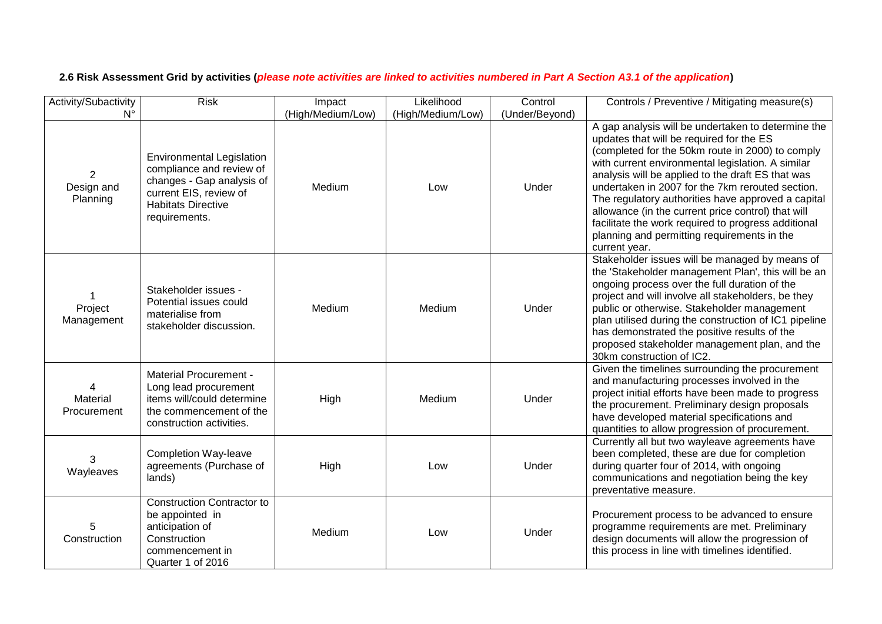| Activity/Subactivity        | <b>Risk</b>                                                                                                                                                       | Impact            | Likelihood        | Control        | Controls / Preventive / Mitigating measure(s)                                                                                                                                                                                                                                                                                                                                                                                                                                                                                                       |
|-----------------------------|-------------------------------------------------------------------------------------------------------------------------------------------------------------------|-------------------|-------------------|----------------|-----------------------------------------------------------------------------------------------------------------------------------------------------------------------------------------------------------------------------------------------------------------------------------------------------------------------------------------------------------------------------------------------------------------------------------------------------------------------------------------------------------------------------------------------------|
| N°                          |                                                                                                                                                                   | (High/Medium/Low) | (High/Medium/Low) | (Under/Beyond) |                                                                                                                                                                                                                                                                                                                                                                                                                                                                                                                                                     |
| 2<br>Design and<br>Planning | <b>Environmental Legislation</b><br>compliance and review of<br>changes - Gap analysis of<br>current EIS, review of<br><b>Habitats Directive</b><br>requirements. | Medium            | Low               | Under          | A gap analysis will be undertaken to determine the<br>updates that will be required for the ES<br>(completed for the 50km route in 2000) to comply<br>with current environmental legislation. A similar<br>analysis will be applied to the draft ES that was<br>undertaken in 2007 for the 7km rerouted section.<br>The regulatory authorities have approved a capital<br>allowance (in the current price control) that will<br>facilitate the work required to progress additional<br>planning and permitting requirements in the<br>current year. |
| Project<br>Management       | Stakeholder issues -<br>Potential issues could<br>materialise from<br>stakeholder discussion.                                                                     | Medium            | Medium            | Under          | Stakeholder issues will be managed by means of<br>the 'Stakeholder management Plan', this will be an<br>ongoing process over the full duration of the<br>project and will involve all stakeholders, be they<br>public or otherwise. Stakeholder management<br>plan utilised during the construction of IC1 pipeline<br>has demonstrated the positive results of the<br>proposed stakeholder management plan, and the<br>30km construction of IC2.                                                                                                   |
| Material<br>Procurement     | <b>Material Procurement -</b><br>Long lead procurement<br>items will/could determine<br>the commencement of the<br>construction activities.                       | High              | Medium            | Under          | Given the timelines surrounding the procurement<br>and manufacturing processes involved in the<br>project initial efforts have been made to progress<br>the procurement. Preliminary design proposals<br>have developed material specifications and<br>quantities to allow progression of procurement.                                                                                                                                                                                                                                              |
| 3<br>Wayleaves              | <b>Completion Way-leave</b><br>agreements (Purchase of<br>lands)                                                                                                  | High              | Low               | Under          | Currently all but two wayleave agreements have<br>been completed, these are due for completion<br>during quarter four of 2014, with ongoing<br>communications and negotiation being the key<br>preventative measure.                                                                                                                                                                                                                                                                                                                                |
| 5<br>Construction           | <b>Construction Contractor to</b><br>be appointed in<br>anticipation of<br>Construction<br>commencement in<br>Quarter 1 of 2016                                   | Medium            | Low               | Under          | Procurement process to be advanced to ensure<br>programme requirements are met. Preliminary<br>design documents will allow the progression of<br>this process in line with timelines identified.                                                                                                                                                                                                                                                                                                                                                    |

# **2.6 Risk Assessment Grid by activities (***please note activities are linked to activities numbered in Part A Section A3.1 of the application***)**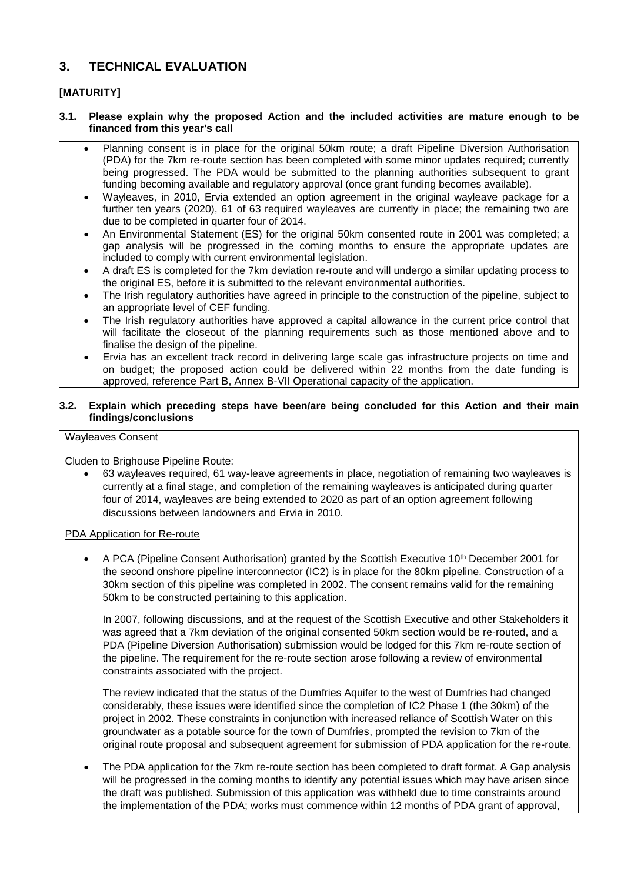# **3. TECHNICAL EVALUATION**

# **[MATURITY]**

#### **3.1. Please explain why the proposed Action and the included activities are mature enough to be financed from this year's call**

- Planning consent is in place for the original 50km route; a draft Pipeline Diversion Authorisation (PDA) for the 7km re-route section has been completed with some minor updates required; currently being progressed. The PDA would be submitted to the planning authorities subsequent to grant funding becoming available and regulatory approval (once grant funding becomes available).
- Wayleaves, in 2010, Ervia extended an option agreement in the original wayleave package for a further ten years (2020), 61 of 63 required wayleaves are currently in place; the remaining two are due to be completed in quarter four of 2014.
- An Environmental Statement (ES) for the original 50km consented route in 2001 was completed; a gap analysis will be progressed in the coming months to ensure the appropriate updates are included to comply with current environmental legislation.
- A draft ES is completed for the 7km deviation re-route and will undergo a similar updating process to the original ES, before it is submitted to the relevant environmental authorities.
- The Irish regulatory authorities have agreed in principle to the construction of the pipeline, subject to an appropriate level of CEF funding.
- The Irish regulatory authorities have approved a capital allowance in the current price control that will facilitate the closeout of the planning requirements such as those mentioned above and to finalise the design of the pipeline.
- Ervia has an excellent track record in delivering large scale gas infrastructure projects on time and on budget; the proposed action could be delivered within 22 months from the date funding is approved, reference Part B, Annex B-VII Operational capacity of the application.

#### **3.2. Explain which preceding steps have been/are being concluded for this Action and their main findings/conclusions**

# Wayleaves Consent

Cluden to Brighouse Pipeline Route:

 63 wayleaves required, 61 way-leave agreements in place, negotiation of remaining two wayleaves is currently at a final stage, and completion of the remaining wayleaves is anticipated during quarter four of 2014, wayleaves are being extended to 2020 as part of an option agreement following discussions between landowners and Ervia in 2010.

#### PDA Application for Re-route

A PCA (Pipeline Consent Authorisation) granted by the Scottish Executive 10<sup>th</sup> December 2001 for the second onshore pipeline interconnector (IC2) is in place for the 80km pipeline. Construction of a 30km section of this pipeline was completed in 2002. The consent remains valid for the remaining 50km to be constructed pertaining to this application.

In 2007, following discussions, and at the request of the Scottish Executive and other Stakeholders it was agreed that a 7km deviation of the original consented 50km section would be re-routed, and a PDA (Pipeline Diversion Authorisation) submission would be lodged for this 7km re-route section of the pipeline. The requirement for the re-route section arose following a review of environmental constraints associated with the project.

The review indicated that the status of the Dumfries Aquifer to the west of Dumfries had changed considerably, these issues were identified since the completion of IC2 Phase 1 (the 30km) of the project in 2002. These constraints in conjunction with increased reliance of Scottish Water on this groundwater as a potable source for the town of Dumfries, prompted the revision to 7km of the original route proposal and subsequent agreement for submission of PDA application for the re-route.

 The PDA application for the 7km re-route section has been completed to draft format. A Gap analysis will be progressed in the coming months to identify any potential issues which may have arisen since the draft was published. Submission of this application was withheld due to time constraints around the implementation of the PDA; works must commence within 12 months of PDA grant of approval,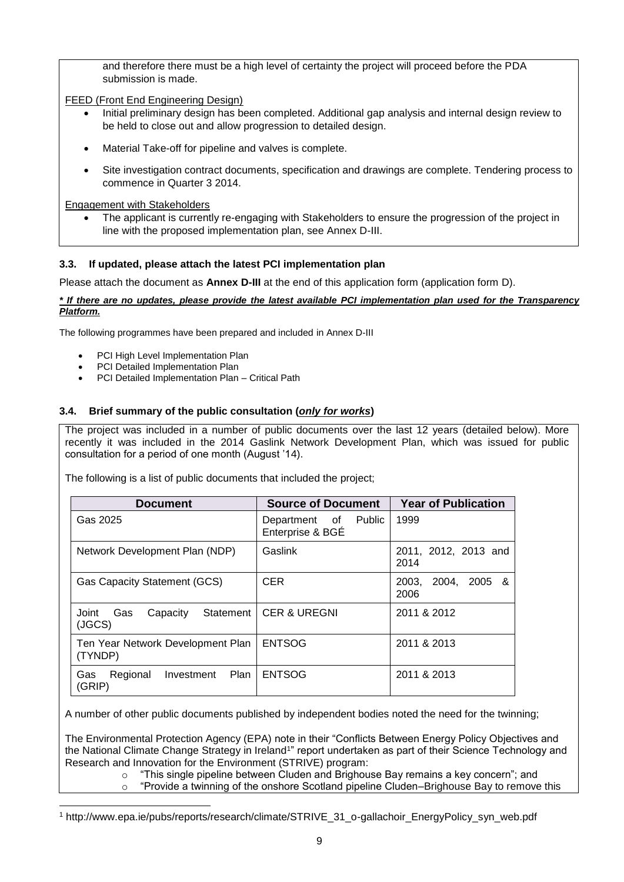and therefore there must be a high level of certainty the project will proceed before the PDA submission is made.

FEED (Front End Engineering Design)

- Initial preliminary design has been completed. Additional gap analysis and internal design review to be held to close out and allow progression to detailed design.
- Material Take-off for pipeline and valves is complete.
- Site investigation contract documents, specification and drawings are complete. Tendering process to commence in Quarter 3 2014.

Engagement with Stakeholders

 The applicant is currently re-engaging with Stakeholders to ensure the progression of the project in line with the proposed implementation plan, see Annex D-III.

# **3.3. If updated, please attach the latest PCI implementation plan**

Please attach the document as **Annex D-III** at the end of this application form (application form D).

#### *\* If there are no updates, please provide the latest available PCI implementation plan used for the Transparency Platform.*

The following programmes have been prepared and included in Annex D-III

- PCI High Level Implementation Plan
- PCI Detailed Implementation Plan

1

PCI Detailed Implementation Plan – Critical Path

#### **3.4. Brief summary of the public consultation (***only for works***)**

The project was included in a number of public documents over the last 12 years (detailed below). More recently it was included in the 2014 Gaslink Network Development Plan, which was issued for public consultation for a period of one month (August '14).

The following is a list of public documents that included the project;

| <b>Document</b>                                   | <b>Source of Document</b>                               | <b>Year of Publication</b>       |  |
|---------------------------------------------------|---------------------------------------------------------|----------------------------------|--|
| Gas 2025                                          | <b>Public</b><br>of .<br>Department<br>Enterprise & BGÉ | 1999                             |  |
| Network Development Plan (NDP)                    | Gaslink                                                 | 2011, 2012, 2013 and<br>2014     |  |
| <b>Gas Capacity Statement (GCS)</b>               | <b>CER</b>                                              | 2004,<br>2003.<br>2005 &<br>2006 |  |
| Statement I<br>Joint<br>Capacity<br>Gas<br>(JGCS) | <b>CER &amp; UREGNI</b>                                 | 2011 & 2012                      |  |
| Ten Year Network Development Plan<br>(TYNDP)      | <b>ENTSOG</b>                                           | 2011 & 2013                      |  |
| Plan<br>Regional<br>Gas<br>Investment<br>(GRIP)   | <b>ENTSOG</b>                                           | 2011 & 2013                      |  |

A number of other public documents published by independent bodies noted the need for the twinning;

The Environmental Protection Agency (EPA) note in their "Conflicts Between Energy Policy Objectives and the National Climate Change Strategy in Ireland<sup>1</sup>" report undertaken as part of their Science Technology and Research and Innovation for the Environment (STRIVE) program:

- $\circ$  "This single pipeline between Cluden and Brighouse Bay remains a key concern"; and
- o "Provide a twinning of the onshore Scotland pipeline Cluden–Brighouse Bay to remove this

<sup>1</sup> http://www.epa.ie/pubs/reports/research/climate/STRIVE\_31\_o-gallachoir\_EnergyPolicy\_syn\_web.pdf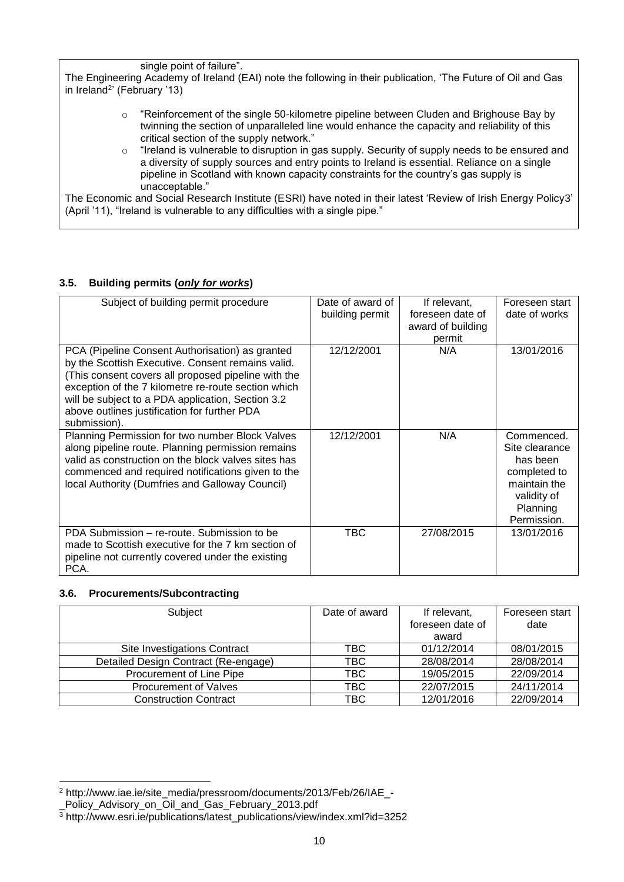single point of failure".

The Engineering Academy of Ireland (EAI) note the following in their publication, 'The Future of Oil and Gas in Ireland<sup>2</sup>' (February '13)

- $\circ$  "Reinforcement of the single 50-kilometre pipeline between Cluden and Brighouse Bay by twinning the section of unparalleled line would enhance the capacity and reliability of this critical section of the supply network."
- $\circ$  "Ireland is vulnerable to disruption in gas supply. Security of supply needs to be ensured and a diversity of supply sources and entry points to Ireland is essential. Reliance on a single pipeline in Scotland with known capacity constraints for the country's gas supply is unacceptable."

The Economic and Social Research Institute (ESRI) have noted in their latest 'Review of Irish Energy Policy3' (April '11), "Ireland is vulnerable to any difficulties with a single pipe."

# **3.5. Building permits (***only for works***)**

| Subject of building permit procedure                                                                                                                                                                                                                                                                                    | Date of award of | If relevant,      | Foreseen start                                                                                                     |
|-------------------------------------------------------------------------------------------------------------------------------------------------------------------------------------------------------------------------------------------------------------------------------------------------------------------------|------------------|-------------------|--------------------------------------------------------------------------------------------------------------------|
|                                                                                                                                                                                                                                                                                                                         | building permit  | foreseen date of  | date of works                                                                                                      |
|                                                                                                                                                                                                                                                                                                                         |                  | award of building |                                                                                                                    |
|                                                                                                                                                                                                                                                                                                                         |                  | permit            |                                                                                                                    |
| PCA (Pipeline Consent Authorisation) as granted<br>by the Scottish Executive. Consent remains valid.<br>(This consent covers all proposed pipeline with the<br>exception of the 7 kilometre re-route section which<br>will be subject to a PDA application, Section 3.2<br>above outlines justification for further PDA | 12/12/2001       | N/A               | 13/01/2016                                                                                                         |
| submission).                                                                                                                                                                                                                                                                                                            |                  |                   |                                                                                                                    |
| Planning Permission for two number Block Valves<br>along pipeline route. Planning permission remains<br>valid as construction on the block valves sites has<br>commenced and required notifications given to the<br>local Authority (Dumfries and Galloway Council)                                                     | 12/12/2001       | N/A               | Commenced.<br>Site clearance<br>has been<br>completed to<br>maintain the<br>validity of<br>Planning<br>Permission. |
| PDA Submission - re-route. Submission to be<br>made to Scottish executive for the 7 km section of<br>pipeline not currently covered under the existing<br>PCA.                                                                                                                                                          | TBC              | 27/08/2015        | 13/01/2016                                                                                                         |

# **3.6. Procurements/Subcontracting**

-

| Subject                              | Date of award | If relevant,     | Foreseen start |
|--------------------------------------|---------------|------------------|----------------|
|                                      |               | foreseen date of | date           |
|                                      |               | award            |                |
| Site Investigations Contract         | TBC.          | 01/12/2014       | 08/01/2015     |
| Detailed Design Contract (Re-engage) | <b>TBC</b>    | 28/08/2014       | 28/08/2014     |
| Procurement of Line Pipe             | <b>TBC</b>    | 19/05/2015       | 22/09/2014     |
| <b>Procurement of Valves</b>         | <b>TBC</b>    | 22/07/2015       | 24/11/2014     |
| <b>Construction Contract</b>         | TBC           | 12/01/2016       | 22/09/2014     |

<sup>2</sup> http://www.iae.ie/site\_media/pressroom/documents/2013/Feb/26/IAE\_-

\_Policy\_Advisory\_on\_Oil\_and\_Gas\_February\_2013.pdf

<sup>3</sup> http://www.esri.ie/publications/latest\_publications/view/index.xml?id=3252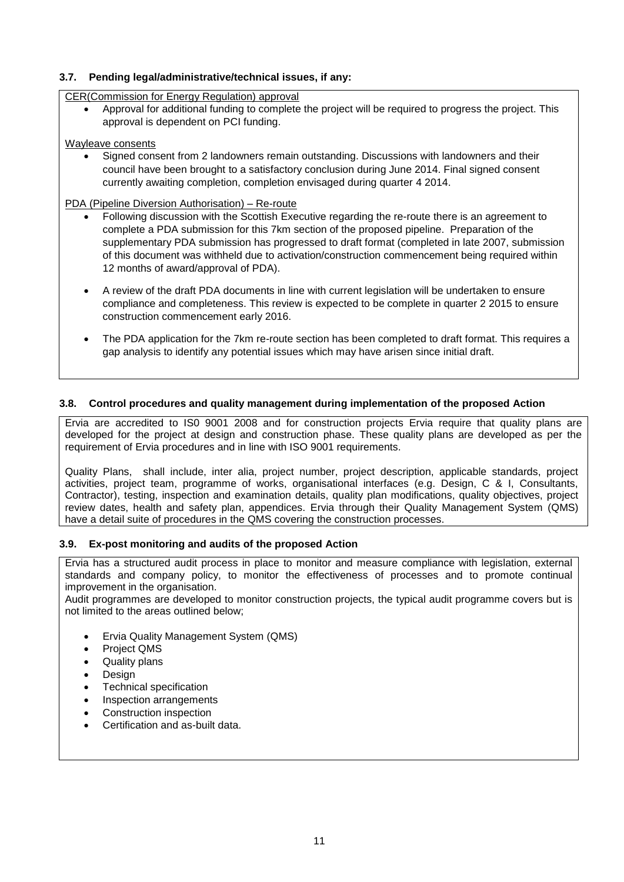# **3.7. Pending legal/administrative/technical issues, if any:**

CER(Commission for Energy Regulation) approval

 Approval for additional funding to complete the project will be required to progress the project. This approval is dependent on PCI funding.

#### Wayleave consents

 Signed consent from 2 landowners remain outstanding. Discussions with landowners and their council have been brought to a satisfactory conclusion during June 2014. Final signed consent currently awaiting completion, completion envisaged during quarter 4 2014.

#### PDA (Pipeline Diversion Authorisation) – Re-route

- Following discussion with the Scottish Executive regarding the re-route there is an agreement to complete a PDA submission for this 7km section of the proposed pipeline. Preparation of the supplementary PDA submission has progressed to draft format (completed in late 2007, submission of this document was withheld due to activation/construction commencement being required within 12 months of award/approval of PDA).
- A review of the draft PDA documents in line with current legislation will be undertaken to ensure compliance and completeness. This review is expected to be complete in quarter 2 2015 to ensure construction commencement early 2016.
- The PDA application for the 7km re-route section has been completed to draft format. This requires a gap analysis to identify any potential issues which may have arisen since initial draft.

#### **3.8. Control procedures and quality management during implementation of the proposed Action**

Ervia are accredited to IS0 9001 2008 and for construction projects Ervia require that quality plans are developed for the project at design and construction phase. These quality plans are developed as per the requirement of Ervia procedures and in line with ISO 9001 requirements.

Quality Plans, shall include, inter alia, project number, project description, applicable standards, project activities, project team, programme of works, organisational interfaces (e.g. Design, C & I, Consultants, Contractor), testing, inspection and examination details, quality plan modifications, quality objectives, project review dates, health and safety plan, appendices. Ervia through their Quality Management System (QMS) have a detail suite of procedures in the QMS covering the construction processes.

#### **3.9. Ex-post monitoring and audits of the proposed Action**

Ervia has a structured audit process in place to monitor and measure compliance with legislation, external standards and company policy, to monitor the effectiveness of processes and to promote continual improvement in the organisation.

Audit programmes are developed to monitor construction projects, the typical audit programme covers but is not limited to the areas outlined below;

- Ervia Quality Management System (QMS)
- Project QMS
- Quality plans
- Design
- Technical specification
- Inspection arrangements
- Construction inspection
- Certification and as-built data.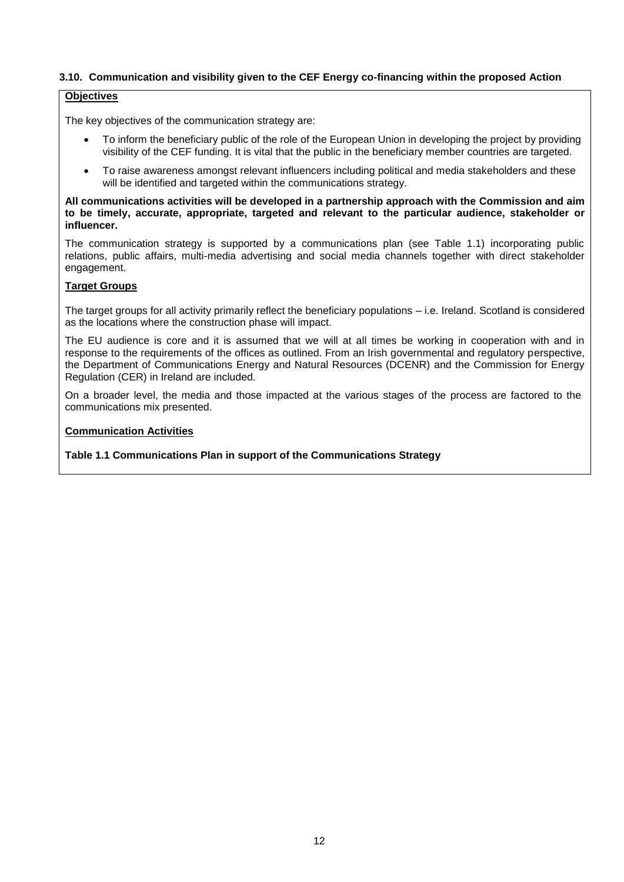### **3.10. Communication and visibility given to the CEF Energy co-financing within the proposed Action**

#### **Objectives**

The key objectives of the communication strategy are:

- To inform the beneficiary public of the role of the European Union in developing the project by providing visibility of the CEF funding. It is vital that the public in the beneficiary member countries are targeted.
- To raise awareness amongst relevant influencers including political and media stakeholders and these will be identified and targeted within the communications strategy.

**All communications activities will be developed in a partnership approach with the Commission and aim to be timely, accurate, appropriate, targeted and relevant to the particular audience, stakeholder or influencer.** 

The communication strategy is supported by a communications plan (see Table 1.1) incorporating public relations, public affairs, multi-media advertising and social media channels together with direct stakeholder engagement.

#### **Target Groups**

The target groups for all activity primarily reflect the beneficiary populations – i.e. Ireland. Scotland is considered as the locations where the construction phase will impact.

The EU audience is core and it is assumed that we will at all times be working in cooperation with and in response to the requirements of the offices as outlined. From an Irish governmental and regulatory perspective, the Department of Communications Energy and Natural Resources (DCENR) and the Commission for Energy Regulation (CER) in Ireland are included.

On a broader level, the media and those impacted at the various stages of the process are factored to the communications mix presented.

#### **Communication Activities**

#### **Table 1.1 Communications Plan in support of the Communications Strategy**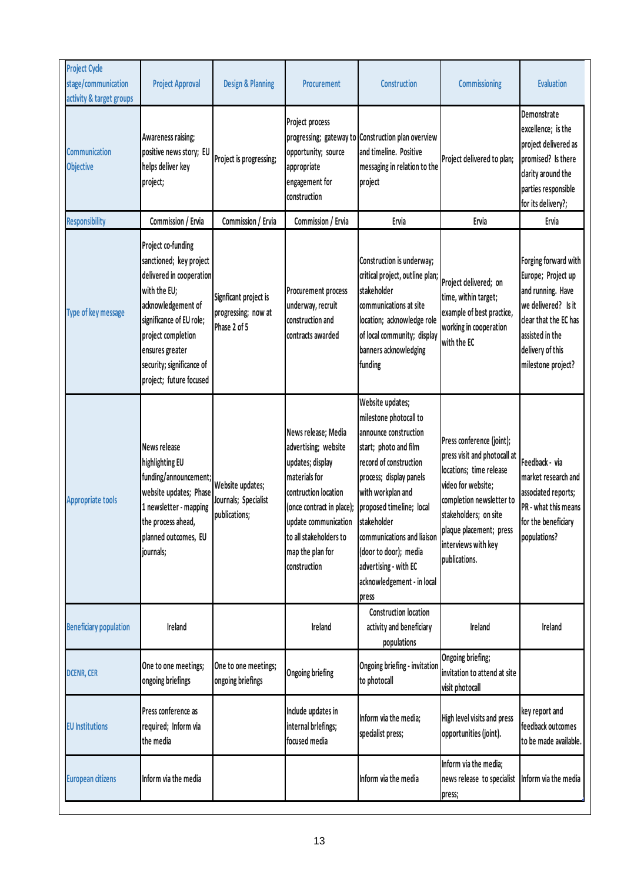| <b>Project Cycle</b><br>stage/communication<br>activity & target groups | <b>Project Approval</b>                                                                                                                                                                                                                      | <b>Design &amp; Planning</b>                                 | <b>Procurement</b>                                                                                                                                                                                                          | Construction                                                                                                                                                                                                                                                                                                                             | <b>Commissioning</b>                                                                                                                                                                                                               | <b>Evaluation</b>                                                                                                                                                            |
|-------------------------------------------------------------------------|----------------------------------------------------------------------------------------------------------------------------------------------------------------------------------------------------------------------------------------------|--------------------------------------------------------------|-----------------------------------------------------------------------------------------------------------------------------------------------------------------------------------------------------------------------------|------------------------------------------------------------------------------------------------------------------------------------------------------------------------------------------------------------------------------------------------------------------------------------------------------------------------------------------|------------------------------------------------------------------------------------------------------------------------------------------------------------------------------------------------------------------------------------|------------------------------------------------------------------------------------------------------------------------------------------------------------------------------|
| Communication<br><b>Objective</b>                                       | Awareness raising;<br>positive news story; EU<br>helps deliver key<br>project;                                                                                                                                                               | Project is progressing;                                      | Project process<br>opportunity; source<br>appropriate<br>engagement for<br>construction                                                                                                                                     | progressing; gateway to Construction plan overview<br>and timeline. Positive<br>messaging in relation to the<br>project                                                                                                                                                                                                                  | Project delivered to plan;                                                                                                                                                                                                         | Demonstrate<br>excellence; is the<br>project delivered as<br>promised? Is there<br>clarity around the<br>parties responsible<br>for its delivery?;                           |
| <b>Responsibility</b>                                                   | Commission / Ervia                                                                                                                                                                                                                           | Commission / Ervia                                           | Commission / Ervia                                                                                                                                                                                                          | Ervia                                                                                                                                                                                                                                                                                                                                    | Ervia                                                                                                                                                                                                                              | Ervia                                                                                                                                                                        |
| Type of key message                                                     | Project co-funding<br>sanctioned; key project<br>delivered in cooperation<br>with the EU;<br>acknowledgement of<br>significance of EU role;<br>project completion<br>ensures greater<br>security; significance of<br>project; future focused | Signficant project is<br>progressing; now at<br>Phase 2 of 5 | Procurement process<br>underway, recruit<br>construction and<br>contracts awarded                                                                                                                                           | Construction is underway;<br>critical project, outline plan;<br>stakeholder<br>communications at site<br>location; acknowledge role<br>of local community; display<br>banners acknowledging<br>funding                                                                                                                                   | Project delivered; on<br>time, within target;<br>example of best practice,<br>working in cooperation<br>with the EC                                                                                                                | Forging forward with<br>Europe; Project up<br>and running. Have<br>we delivered? Is it<br>clear that the EC has<br>assisted in the<br>delivery of this<br>milestone project? |
| <b>Appropriate tools</b>                                                | News release<br>highlighting EU<br>funding/announcement;<br>website updates; Phase<br>1 newsletter - mapping<br>the process ahead,<br>planned outcomes, EU<br>journals;                                                                      | Website updates;<br>Journals; Specialist<br>publications;    | News release; Media<br>advertising; website<br>updates; display<br>materials for<br>contruction location<br>(once contract in place);<br>update communication<br>to all stakeholders to<br>map the plan for<br>construction | Website updates;<br>milestone photocall to<br>announce construction<br>start; photo and film<br>record of construction<br>process; display panels<br>with workplan and<br>proposed timeline; local<br>stakeholder<br>communications and liaison<br>(door to door); media<br>advertising - with EC<br>acknowledgement - in local<br>press | Press conference (joint);<br>press visit and photocall at<br>locations; time release<br>video for website;<br>completion newsletter to<br>stakeholders; on site<br>plaque placement; press<br>interviews with key<br>publications. | Feedback - via<br>market research and<br>associated reports;<br>PR - what this means<br>for the beneficiary<br>populations?                                                  |
| <b>Beneficiary population</b>                                           | Ireland                                                                                                                                                                                                                                      |                                                              | Ireland                                                                                                                                                                                                                     | <b>Construction location</b><br>activity and beneficiary<br>populations                                                                                                                                                                                                                                                                  | Ireland                                                                                                                                                                                                                            | Ireland                                                                                                                                                                      |
| <b>DCENR, CER</b>                                                       | One to one meetings;<br>ongoing briefings                                                                                                                                                                                                    | One to one meetings;<br>ongoing briefings                    | <b>Ongoing briefing</b>                                                                                                                                                                                                     | Ongoing briefing - invitation<br>to photocall                                                                                                                                                                                                                                                                                            | Ongoing briefing;<br>invitation to attend at site<br>visit photocall                                                                                                                                                               |                                                                                                                                                                              |
| <b>EU</b> Institutions                                                  | Press conference as<br>required; Inform via<br>the media                                                                                                                                                                                     |                                                              | Include updates in<br>internal brlefings;<br>focused media                                                                                                                                                                  | Inform via the media;<br>specialist press;                                                                                                                                                                                                                                                                                               | High level visits and press<br>opportunities (joint).                                                                                                                                                                              | key report and<br>feedback outcomes<br>to be made available.                                                                                                                 |
| <b>European citizens</b>                                                | Inform via the media                                                                                                                                                                                                                         |                                                              |                                                                                                                                                                                                                             | Inform via the media                                                                                                                                                                                                                                                                                                                     | Inform via the media;<br>news release to specialist<br>press;                                                                                                                                                                      | Inform via the media                                                                                                                                                         |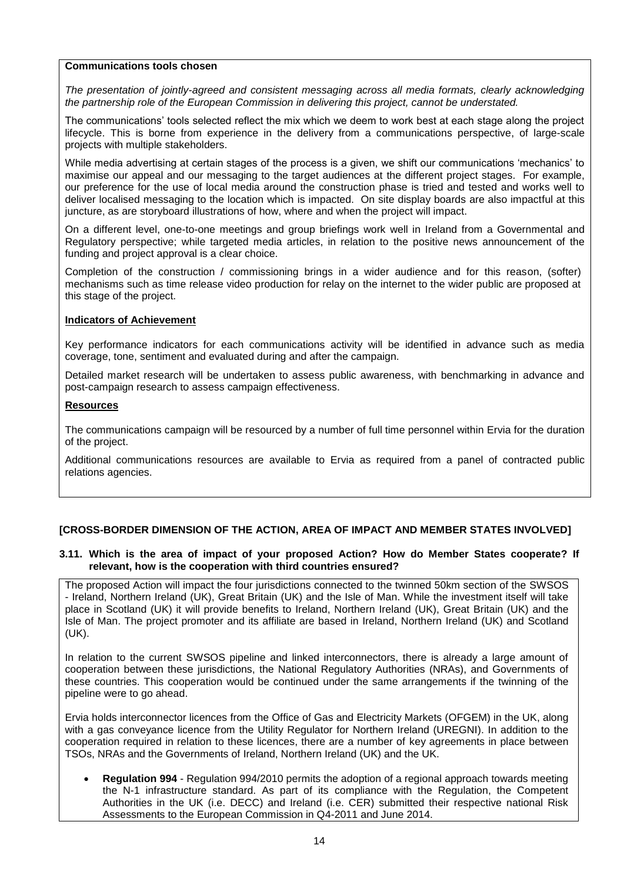### **Communications tools chosen**

*The presentation of jointly-agreed and consistent messaging across all media formats, clearly acknowledging the partnership role of the European Commission in delivering this project, cannot be understated.* 

The communications' tools selected reflect the mix which we deem to work best at each stage along the project lifecycle. This is borne from experience in the delivery from a communications perspective, of large-scale projects with multiple stakeholders.

While media advertising at certain stages of the process is a given, we shift our communications 'mechanics' to maximise our appeal and our messaging to the target audiences at the different project stages. For example, our preference for the use of local media around the construction phase is tried and tested and works well to deliver localised messaging to the location which is impacted. On site display boards are also impactful at this juncture, as are storyboard illustrations of how, where and when the project will impact.

On a different level, one-to-one meetings and group briefings work well in Ireland from a Governmental and Regulatory perspective; while targeted media articles, in relation to the positive news announcement of the funding and project approval is a clear choice.

Completion of the construction / commissioning brings in a wider audience and for this reason, (softer) mechanisms such as time release video production for relay on the internet to the wider public are proposed at this stage of the project.

#### **Indicators of Achievement**

Key performance indicators for each communications activity will be identified in advance such as media coverage, tone, sentiment and evaluated during and after the campaign.

Detailed market research will be undertaken to assess public awareness, with benchmarking in advance and post-campaign research to assess campaign effectiveness.

#### **Resources**

The communications campaign will be resourced by a number of full time personnel within Ervia for the duration of the project.

Additional communications resources are available to Ervia as required from a panel of contracted public relations agencies.

#### **[CROSS-BORDER DIMENSION OF THE ACTION, AREA OF IMPACT AND MEMBER STATES INVOLVED]**

#### **3.11. Which is the area of impact of your proposed Action? How do Member States cooperate? If relevant, how is the cooperation with third countries ensured?**

The proposed Action will impact the four jurisdictions connected to the twinned 50km section of the SWSOS - Ireland, Northern Ireland (UK), Great Britain (UK) and the Isle of Man. While the investment itself will take place in Scotland (UK) it will provide benefits to Ireland, Northern Ireland (UK), Great Britain (UK) and the Isle of Man. The project promoter and its affiliate are based in Ireland, Northern Ireland (UK) and Scotland (UK).

In relation to the current SWSOS pipeline and linked interconnectors, there is already a large amount of cooperation between these jurisdictions, the National Regulatory Authorities (NRAs), and Governments of these countries. This cooperation would be continued under the same arrangements if the twinning of the pipeline were to go ahead.

Ervia holds interconnector licences from the Office of Gas and Electricity Markets (OFGEM) in the UK, along with a gas conveyance licence from the Utility Regulator for Northern Ireland (UREGNI). In addition to the cooperation required in relation to these licences, there are a number of key agreements in place between TSOs, NRAs and the Governments of Ireland, Northern Ireland (UK) and the UK.

 **Regulation 994** - Regulation 994/2010 permits the adoption of a regional approach towards meeting the N-1 infrastructure standard. As part of its compliance with the Regulation, the Competent Authorities in the UK (i.e. DECC) and Ireland (i.e. CER) submitted their respective national Risk Assessments to the European Commission in Q4-2011 and June 2014.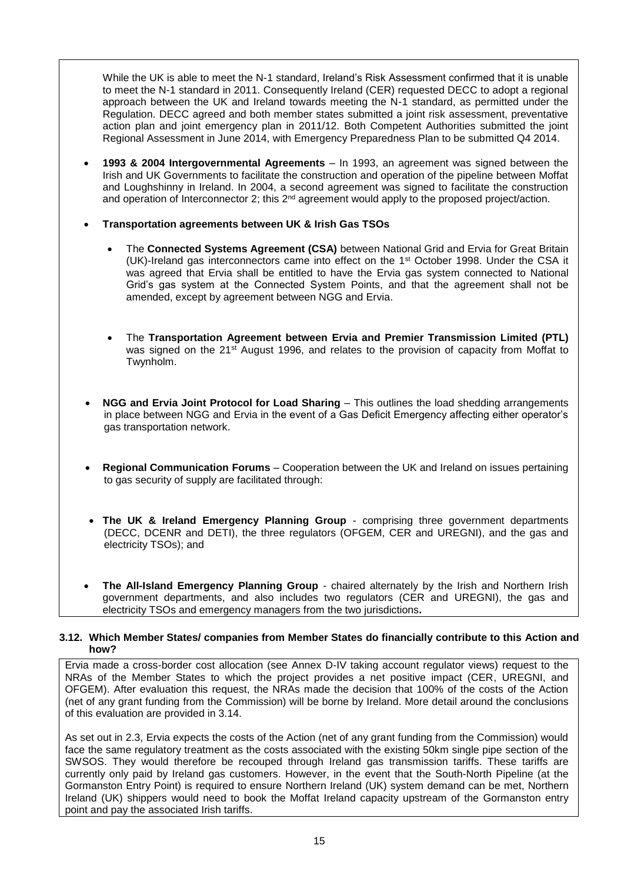While the UK is able to meet the N-1 standard, Ireland's Risk Assessment confirmed that it is unable to meet the N-1 standard in 2011. Consequently Ireland (CER) requested DECC to adopt a regional approach between the UK and Ireland towards meeting the N-1 standard, as permitted under the Regulation. DECC agreed and both member states submitted a joint risk assessment, preventative action plan and joint emergency plan in 2011/12. Both Competent Authorities submitted the joint Regional Assessment in June 2014, with Emergency Preparedness Plan to be submitted Q4 2014.

- **1993 & 2004 Intergovernmental Agreements** In 1993, an agreement was signed between the Irish and UK Governments to facilitate the construction and operation of the pipeline between Moffat and Loughshinny in Ireland. In 2004, a second agreement was signed to facilitate the construction and operation of Interconnector 2; this 2<sup>nd</sup> agreement would apply to the proposed project/action.
- **Transportation agreements between UK & Irish Gas TSOs**
	- The **Connected Systems Agreement (CSA)** between National Grid and Ervia for Great Britain (UK)-Ireland gas interconnectors came into effect on the 1st October 1998. Under the CSA it was agreed that Ervia shall be entitled to have the Ervia gas system connected to National Grid's gas system at the Connected System Points, and that the agreement shall not be amended, except by agreement between NGG and Ervia.
	- The **Transportation Agreement between Ervia and Premier Transmission Limited (PTL)**  was signed on the 21<sup>st</sup> August 1996, and relates to the provision of capacity from Moffat to Twynholm.
- **NGG and Ervia Joint Protocol for Load Sharing**  This outlines the load shedding arrangements in place between NGG and Ervia in the event of a Gas Deficit Emergency affecting either operator's gas transportation network.
- **Regional Communication Forums**  Cooperation between the UK and Ireland on issues pertaining to gas security of supply are facilitated through:
- **The UK & Ireland Emergency Planning Group**  comprising three government departments (DECC, DCENR and DETI), the three regulators (OFGEM, CER and UREGNI), and the gas and electricity TSOs); and
- **The All-Island Emergency Planning Group**  chaired alternately by the Irish and Northern Irish government departments, and also includes two regulators (CER and UREGNI), the gas and electricity TSOs and emergency managers from the two jurisdictions**.**

#### **3.12. Which Member States/ companies from Member States do financially contribute to this Action and how?**

Ervia made a cross-border cost allocation (see Annex D-IV taking account regulator views) request to the NRAs of the Member States to which the project provides a net positive impact (CER, UREGNI, and OFGEM). After evaluation this request, the NRAs made the decision that 100% of the costs of the Action (net of any grant funding from the Commission) will be borne by Ireland. More detail around the conclusions of this evaluation are provided in 3.14.

As set out in 2.3, Ervia expects the costs of the Action (net of any grant funding from the Commission) would face the same regulatory treatment as the costs associated with the existing 50km single pipe section of the SWSOS. They would therefore be recouped through Ireland gas transmission tariffs. These tariffs are currently only paid by Ireland gas customers. However, in the event that the South-North Pipeline (at the Gormanston Entry Point) is required to ensure Northern Ireland (UK) system demand can be met, Northern Ireland (UK) shippers would need to book the Moffat Ireland capacity upstream of the Gormanston entry point and pay the associated Irish tariffs.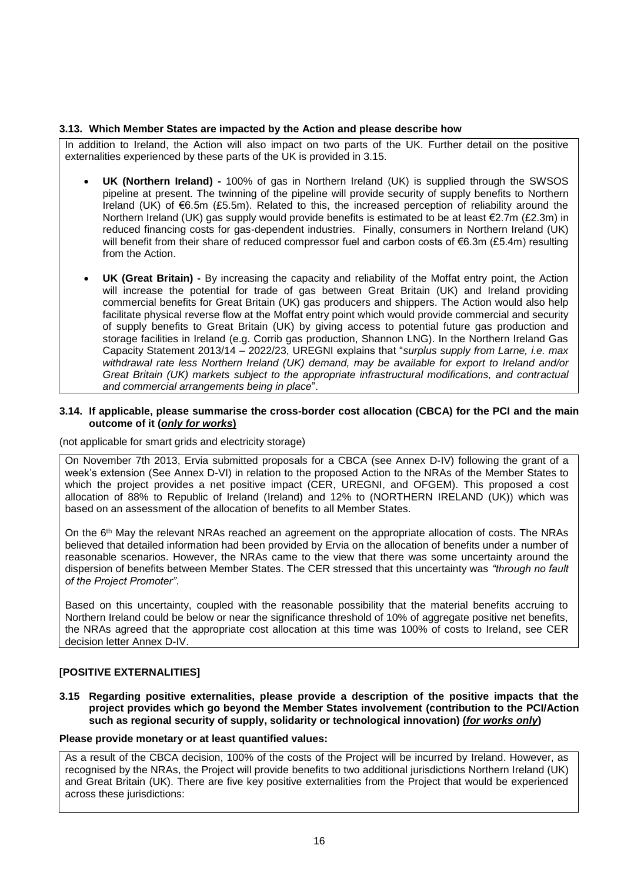#### **3.13. Which Member States are impacted by the Action and please describe how**

In addition to Ireland, the Action will also impact on two parts of the UK. Further detail on the positive externalities experienced by these parts of the UK is provided in 3.15.

- **UK (Northern Ireland) -** 100% of gas in Northern Ireland (UK) is supplied through the SWSOS pipeline at present. The twinning of the pipeline will provide security of supply benefits to Northern Ireland (UK) of  $\epsilon$ 6.5m (£5.5m). Related to this, the increased perception of reliability around the Northern Ireland (UK) gas supply would provide benefits is estimated to be at least €2.7m (£2.3m) in reduced financing costs for gas-dependent industries. Finally, consumers in Northern Ireland (UK) will benefit from their share of reduced compressor fuel and carbon costs of €6.3m (£5.4m) resulting from the Action.
- **UK (Great Britain) -** By increasing the capacity and reliability of the Moffat entry point, the Action will increase the potential for trade of gas between Great Britain (UK) and Ireland providing commercial benefits for Great Britain (UK) gas producers and shippers. The Action would also help facilitate physical reverse flow at the Moffat entry point which would provide commercial and security of supply benefits to Great Britain (UK) by giving access to potential future gas production and storage facilities in Ireland (e.g. Corrib gas production, Shannon LNG). In the Northern Ireland Gas Capacity Statement 2013/14 – 2022/23, UREGNI explains that "*surplus supply from Larne, i.e. max withdrawal rate less Northern Ireland (UK) demand, may be available for export to Ireland and/or Great Britain (UK) markets subject to the appropriate infrastructural modifications, and contractual and commercial arrangements being in place*".

#### **3.14. If applicable, please summarise the cross-border cost allocation (CBCA) for the PCI and the main outcome of it (***only for works***)**

(not applicable for smart grids and electricity storage)

On November 7th 2013, Ervia submitted proposals for a CBCA (see Annex D-IV) following the grant of a week's extension (See Annex D-VI) in relation to the proposed Action to the NRAs of the Member States to which the project provides a net positive impact (CER, UREGNI, and OFGEM). This proposed a cost allocation of 88% to Republic of Ireland (Ireland) and 12% to (NORTHERN IRELAND (UK)) which was based on an assessment of the allocation of benefits to all Member States.

On the 6th May the relevant NRAs reached an agreement on the appropriate allocation of costs. The NRAs believed that detailed information had been provided by Ervia on the allocation of benefits under a number of reasonable scenarios. However, the NRAs came to the view that there was some uncertainty around the dispersion of benefits between Member States. The CER stressed that this uncertainty was *"through no fault of the Project Promoter"*.

Based on this uncertainty, coupled with the reasonable possibility that the material benefits accruing to Northern Ireland could be below or near the significance threshold of 10% of aggregate positive net benefits, the NRAs agreed that the appropriate cost allocation at this time was 100% of costs to Ireland, see CER decision letter Annex D-IV.

# **[POSITIVE EXTERNALITIES]**

**3.15 Regarding positive externalities, please provide a description of the positive impacts that the project provides which go beyond the Member States involvement (contribution to the PCI/Action such as regional security of supply, solidarity or technological innovation) (***for works only***)** 

### **Please provide monetary or at least quantified values:**

As a result of the CBCA decision, 100% of the costs of the Project will be incurred by Ireland. However, as recognised by the NRAs, the Project will provide benefits to two additional jurisdictions Northern Ireland (UK) and Great Britain (UK). There are five key positive externalities from the Project that would be experienced across these jurisdictions: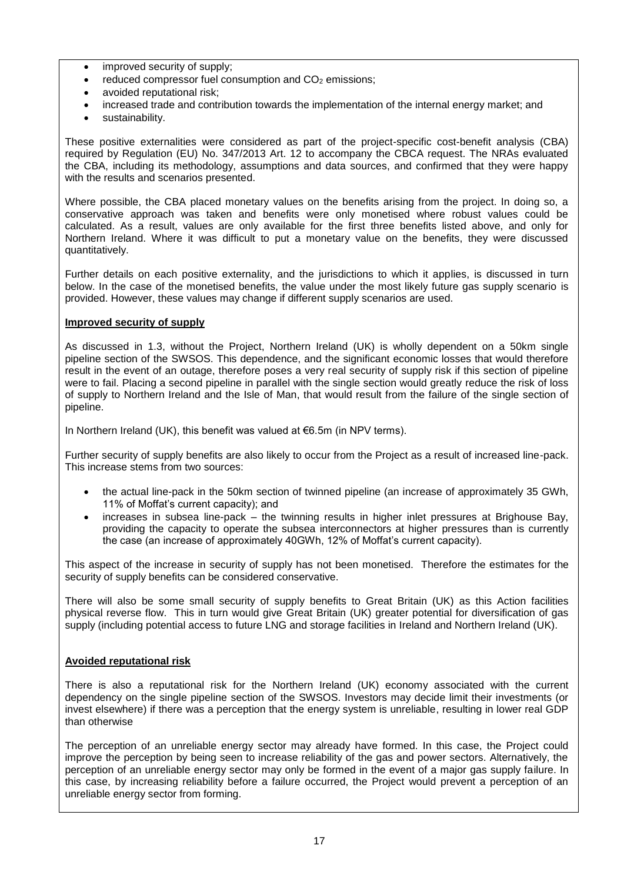- improved security of supply;
- reduced compressor fuel consumption and CO<sub>2</sub> emissions;
- avoided reputational risk;
- increased trade and contribution towards the implementation of the internal energy market; and
- sustainability.

These positive externalities were considered as part of the project-specific cost-benefit analysis (CBA) required by Regulation (EU) No. 347/2013 Art. 12 to accompany the CBCA request. The NRAs evaluated the CBA, including its methodology, assumptions and data sources, and confirmed that they were happy with the results and scenarios presented.

Where possible, the CBA placed monetary values on the benefits arising from the project. In doing so, a conservative approach was taken and benefits were only monetised where robust values could be calculated. As a result, values are only available for the first three benefits listed above, and only for Northern Ireland. Where it was difficult to put a monetary value on the benefits, they were discussed quantitatively.

Further details on each positive externality, and the jurisdictions to which it applies, is discussed in turn below. In the case of the monetised benefits, the value under the most likely future gas supply scenario is provided. However, these values may change if different supply scenarios are used.

# **Improved security of supply**

As discussed in 1.3, without the Project, Northern Ireland (UK) is wholly dependent on a 50km single pipeline section of the SWSOS. This dependence, and the significant economic losses that would therefore result in the event of an outage, therefore poses a very real security of supply risk if this section of pipeline were to fail. Placing a second pipeline in parallel with the single section would greatly reduce the risk of loss of supply to Northern Ireland and the Isle of Man, that would result from the failure of the single section of pipeline.

In Northern Ireland (UK), this benefit was valued at €6.5m (in NPV terms).

Further security of supply benefits are also likely to occur from the Project as a result of increased line-pack. This increase stems from two sources:

- the actual line-pack in the 50km section of twinned pipeline (an increase of approximately 35 GWh, 11% of Moffat's current capacity); and
- increases in subsea line-pack the twinning results in higher inlet pressures at Brighouse Bay, providing the capacity to operate the subsea interconnectors at higher pressures than is currently the case (an increase of approximately 40GWh, 12% of Moffat's current capacity).

This aspect of the increase in security of supply has not been monetised. Therefore the estimates for the security of supply benefits can be considered conservative.

There will also be some small security of supply benefits to Great Britain (UK) as this Action facilities physical reverse flow. This in turn would give Great Britain (UK) greater potential for diversification of gas supply (including potential access to future LNG and storage facilities in Ireland and Northern Ireland (UK).

#### **Avoided reputational risk**

There is also a reputational risk for the Northern Ireland (UK) economy associated with the current dependency on the single pipeline section of the SWSOS. Investors may decide limit their investments (or invest elsewhere) if there was a perception that the energy system is unreliable, resulting in lower real GDP than otherwise

The perception of an unreliable energy sector may already have formed. In this case, the Project could improve the perception by being seen to increase reliability of the gas and power sectors. Alternatively, the perception of an unreliable energy sector may only be formed in the event of a major gas supply failure. In this case, by increasing reliability before a failure occurred, the Project would prevent a perception of an unreliable energy sector from forming.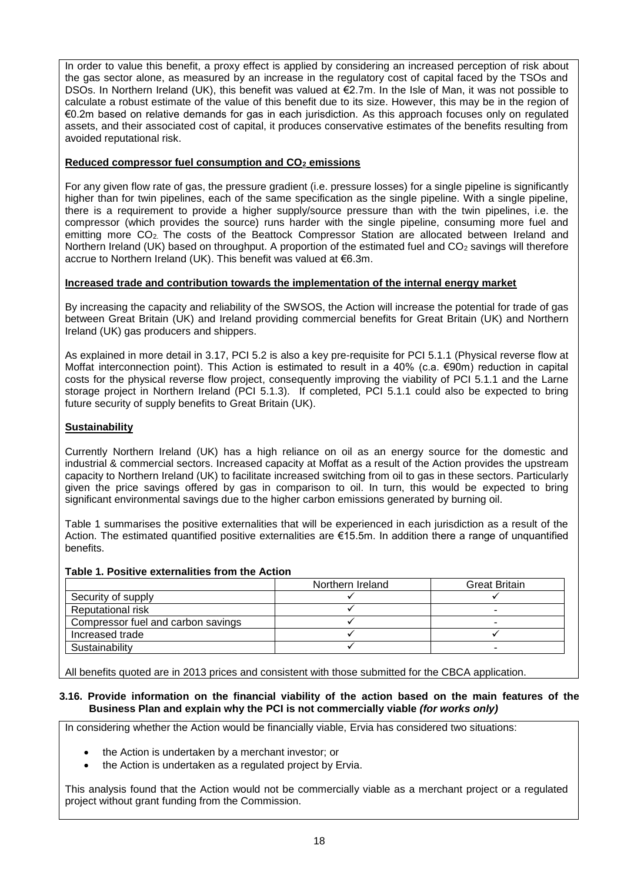In order to value this benefit, a proxy effect is applied by considering an increased perception of risk about the gas sector alone, as measured by an increase in the regulatory cost of capital faced by the TSOs and DSOs. In Northern Ireland (UK), this benefit was valued at €2.7m. In the Isle of Man, it was not possible to calculate a robust estimate of the value of this benefit due to its size. However, this may be in the region of €0.2m based on relative demands for gas in each jurisdiction. As this approach focuses only on regulated assets, and their associated cost of capital, it produces conservative estimates of the benefits resulting from avoided reputational risk.

# **Reduced compressor fuel consumption and CO<sup>2</sup> emissions**

For any given flow rate of gas, the pressure gradient (i.e. pressure losses) for a single pipeline is significantly higher than for twin pipelines, each of the same specification as the single pipeline. With a single pipeline, there is a requirement to provide a higher supply/source pressure than with the twin pipelines, i.e. the compressor (which provides the source) runs harder with the single pipeline, consuming more fuel and emitting more CO2. The costs of the Beattock Compressor Station are allocated between Ireland and Northern Ireland (UK) based on throughput. A proportion of the estimated fuel and  $CO<sub>2</sub>$  savings will therefore accrue to Northern Ireland (UK). This benefit was valued at €6.3m.

# **Increased trade and contribution towards the implementation of the internal energy market**

By increasing the capacity and reliability of the SWSOS, the Action will increase the potential for trade of gas between Great Britain (UK) and Ireland providing commercial benefits for Great Britain (UK) and Northern Ireland (UK) gas producers and shippers.

As explained in more detail in 3.17, PCI 5.2 is also a key pre-requisite for PCI 5.1.1 (Physical reverse flow at Moffat interconnection point). This Action is estimated to result in a 40% (c.a. €90m) reduction in capital costs for the physical reverse flow project, consequently improving the viability of PCI 5.1.1 and the Larne storage project in Northern Ireland (PCI 5.1.3). If completed, PCI 5.1.1 could also be expected to bring future security of supply benefits to Great Britain (UK).

# **Sustainability**

Currently Northern Ireland (UK) has a high reliance on oil as an energy source for the domestic and industrial & commercial sectors. Increased capacity at Moffat as a result of the Action provides the upstream capacity to Northern Ireland (UK) to facilitate increased switching from oil to gas in these sectors. Particularly given the price savings offered by gas in comparison to oil. In turn, this would be expected to bring significant environmental savings due to the higher carbon emissions generated by burning oil.

Table 1 summarises the positive externalities that will be experienced in each jurisdiction as a result of the Action. The estimated quantified positive externalities are €15.5m. In addition there a range of unquantified benefits.

#### **Table 1. Positive externalities from the Action**

|                                    | Northern Ireland | <b>Great Britain</b> |
|------------------------------------|------------------|----------------------|
| Security of supply                 |                  |                      |
| <b>Reputational risk</b>           |                  |                      |
| Compressor fuel and carbon savings |                  |                      |
| Increased trade                    |                  |                      |
| Sustainability                     |                  |                      |

All benefits quoted are in 2013 prices and consistent with those submitted for the CBCA application.

#### **3.16. Provide information on the financial viability of the action based on the main features of the Business Plan and explain why the PCI is not commercially viable** *(for works only)*

In considering whether the Action would be financially viable, Ervia has considered two situations:

- the Action is undertaken by a merchant investor; or
- the Action is undertaken as a regulated project by Ervia.

This analysis found that the Action would not be commercially viable as a merchant project or a regulated project without grant funding from the Commission.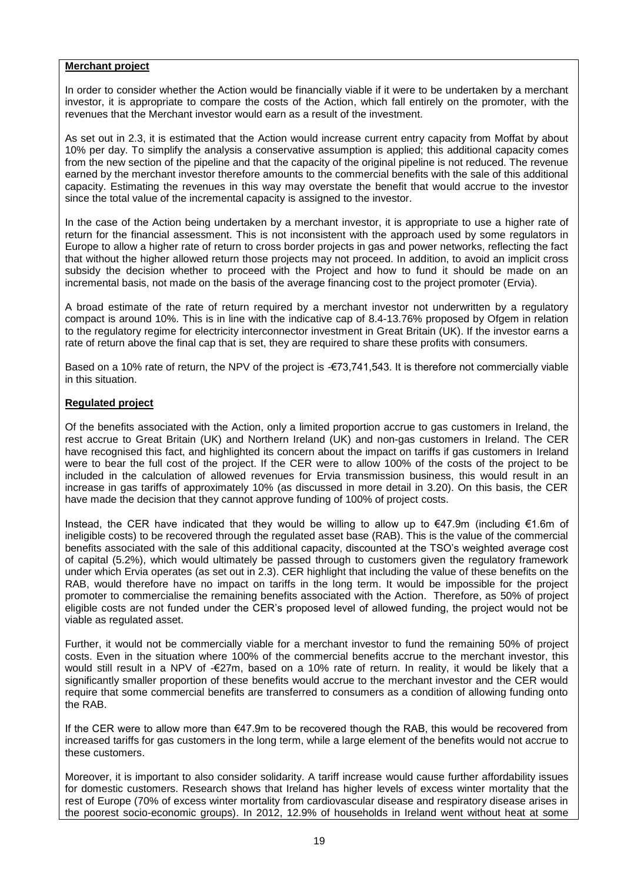### **Merchant project**

In order to consider whether the Action would be financially viable if it were to be undertaken by a merchant investor, it is appropriate to compare the costs of the Action, which fall entirely on the promoter, with the revenues that the Merchant investor would earn as a result of the investment.

As set out in 2.3, it is estimated that the Action would increase current entry capacity from Moffat by about 10% per day. To simplify the analysis a conservative assumption is applied; this additional capacity comes from the new section of the pipeline and that the capacity of the original pipeline is not reduced. The revenue earned by the merchant investor therefore amounts to the commercial benefits with the sale of this additional capacity. Estimating the revenues in this way may overstate the benefit that would accrue to the investor since the total value of the incremental capacity is assigned to the investor.

In the case of the Action being undertaken by a merchant investor, it is appropriate to use a higher rate of return for the financial assessment. This is not inconsistent with the approach used by some regulators in Europe to allow a higher rate of return to cross border projects in gas and power networks, reflecting the fact that without the higher allowed return those projects may not proceed. In addition, to avoid an implicit cross subsidy the decision whether to proceed with the Project and how to fund it should be made on an incremental basis, not made on the basis of the average financing cost to the project promoter (Ervia).

A broad estimate of the rate of return required by a merchant investor not underwritten by a regulatory compact is around 10%. This is in line with the indicative cap of 8.4-13.76% proposed by Ofgem in relation to the regulatory regime for electricity interconnector investment in Great Britain (UK). If the investor earns a rate of return above the final cap that is set, they are required to share these profits with consumers.

Based on a 10% rate of return, the NPV of the project is -€73,741,543. It is therefore not commercially viable in this situation.

# **Regulated project**

Of the benefits associated with the Action, only a limited proportion accrue to gas customers in Ireland, the rest accrue to Great Britain (UK) and Northern Ireland (UK) and non-gas customers in Ireland. The CER have recognised this fact, and highlighted its concern about the impact on tariffs if gas customers in Ireland were to bear the full cost of the project. If the CER were to allow 100% of the costs of the project to be included in the calculation of allowed revenues for Ervia transmission business, this would result in an increase in gas tariffs of approximately 10% (as discussed in more detail in 3.20). On this basis, the CER have made the decision that they cannot approve funding of 100% of project costs.

Instead, the CER have indicated that they would be willing to allow up to €47.9m (including €1.6m of ineligible costs) to be recovered through the regulated asset base (RAB). This is the value of the commercial benefits associated with the sale of this additional capacity, discounted at the TSO's weighted average cost of capital (5.2%), which would ultimately be passed through to customers given the regulatory framework under which Ervia operates (as set out in 2.3). CER highlight that including the value of these benefits on the RAB, would therefore have no impact on tariffs in the long term. It would be impossible for the project promoter to commercialise the remaining benefits associated with the Action. Therefore, as 50% of project eligible costs are not funded under the CER's proposed level of allowed funding, the project would not be viable as regulated asset.

Further, it would not be commercially viable for a merchant investor to fund the remaining 50% of project costs. Even in the situation where 100% of the commercial benefits accrue to the merchant investor, this would still result in a NPV of -€27m, based on a 10% rate of return. In reality, it would be likely that a significantly smaller proportion of these benefits would accrue to the merchant investor and the CER would require that some commercial benefits are transferred to consumers as a condition of allowing funding onto the RAB.

If the CER were to allow more than €47.9m to be recovered though the RAB, this would be recovered from increased tariffs for gas customers in the long term, while a large element of the benefits would not accrue to these customers.

Moreover, it is important to also consider solidarity. A tariff increase would cause further affordability issues for domestic customers. Research shows that Ireland has higher levels of excess winter mortality that the rest of Europe (70% of excess winter mortality from cardiovascular disease and respiratory disease arises in the poorest socio-economic groups). In 2012, 12.9% of households in Ireland went without heat at some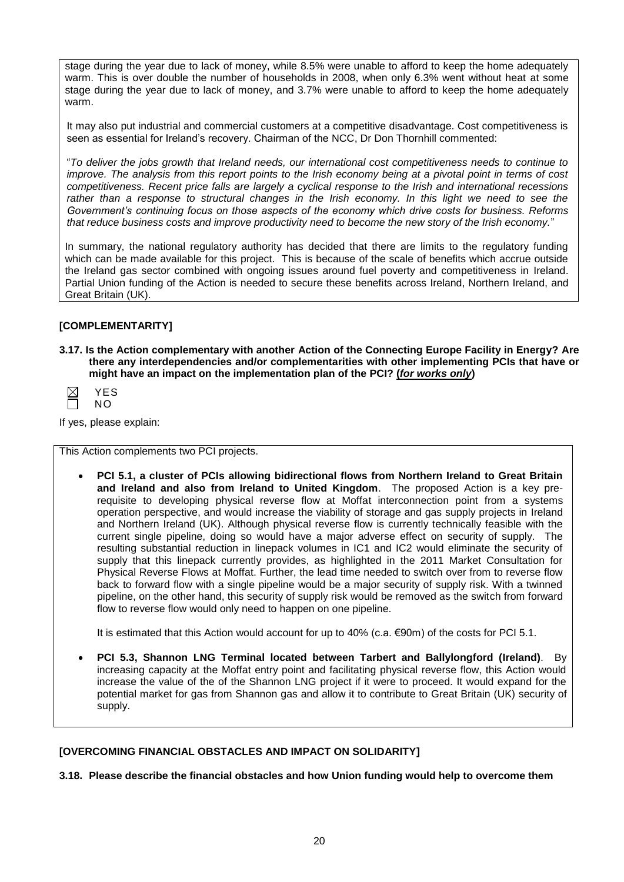stage during the year due to lack of money, while 8.5% were unable to afford to keep the home adequately warm. This is over double the number of households in 2008, when only 6.3% went without heat at some stage during the year due to lack of money, and 3.7% were unable to afford to keep the home adequately warm.

It may also put industrial and commercial customers at a competitive disadvantage. Cost competitiveness is seen as essential for Ireland's recovery. Chairman of the NCC, Dr Don Thornhill commented:

"*To deliver the jobs growth that Ireland needs, our international cost competitiveness needs to continue to improve. The analysis from this report points to the Irish economy being at a pivotal point in terms of cost competitiveness. Recent price falls are largely a cyclical response to the Irish and international recessions*  rather than a response to structural changes in the Irish economy. In this light we need to see the *Government's continuing focus on those aspects of the economy which drive costs for business. Reforms that reduce business costs and improve productivity need to become the new story of the Irish economy.*"

In summary, the national regulatory authority has decided that there are limits to the regulatory funding which can be made available for this project. This is because of the scale of benefits which accrue outside the Ireland gas sector combined with ongoing issues around fuel poverty and competitiveness in Ireland. Partial Union funding of the Action is needed to secure these benefits across Ireland, Northern Ireland, and Great Britain (UK).

# **[COMPLEMENTARITY]**

**3.17. Is the Action complementary with another Action of the Connecting Europe Facility in Energy? Are there any interdependencies and/or complementarities with other implementing PCIs that have or might have an impact on the implementation plan of the PCI? (***for works only***)**

| S<br>-  |
|---------|
| N.<br>c |

If yes, please explain:

This Action complements two PCI projects.

 **PCI 5.1, a cluster of PCIs allowing bidirectional flows from Northern Ireland to Great Britain and Ireland and also from Ireland to United Kingdom**. The proposed Action is a key prerequisite to developing physical reverse flow at Moffat interconnection point from a systems operation perspective, and would increase the viability of storage and gas supply projects in Ireland and Northern Ireland (UK). Although physical reverse flow is currently technically feasible with the current single pipeline, doing so would have a major adverse effect on security of supply. The resulting substantial reduction in linepack volumes in IC1 and IC2 would eliminate the security of supply that this linepack currently provides, as highlighted in the 2011 Market Consultation for Physical Reverse Flows at Moffat. Further, the lead time needed to switch over from to reverse flow back to forward flow with a single pipeline would be a major security of supply risk. With a twinned pipeline, on the other hand, this security of supply risk would be removed as the switch from forward flow to reverse flow would only need to happen on one pipeline.

It is estimated that this Action would account for up to 40% (c.a.  $\epsilon$ 90m) of the costs for PCI 5.1.

 **PCI 5.3, Shannon LNG Terminal located between Tarbert and Ballylongford (Ireland)**. By increasing capacity at the Moffat entry point and facilitating physical reverse flow, this Action would increase the value of the of the Shannon LNG project if it were to proceed. It would expand for the potential market for gas from Shannon gas and allow it to contribute to Great Britain (UK) security of supply.

#### **[OVERCOMING FINANCIAL OBSTACLES AND IMPACT ON SOLIDARITY]**

**3.18. Please describe the financial obstacles and how Union funding would help to overcome them**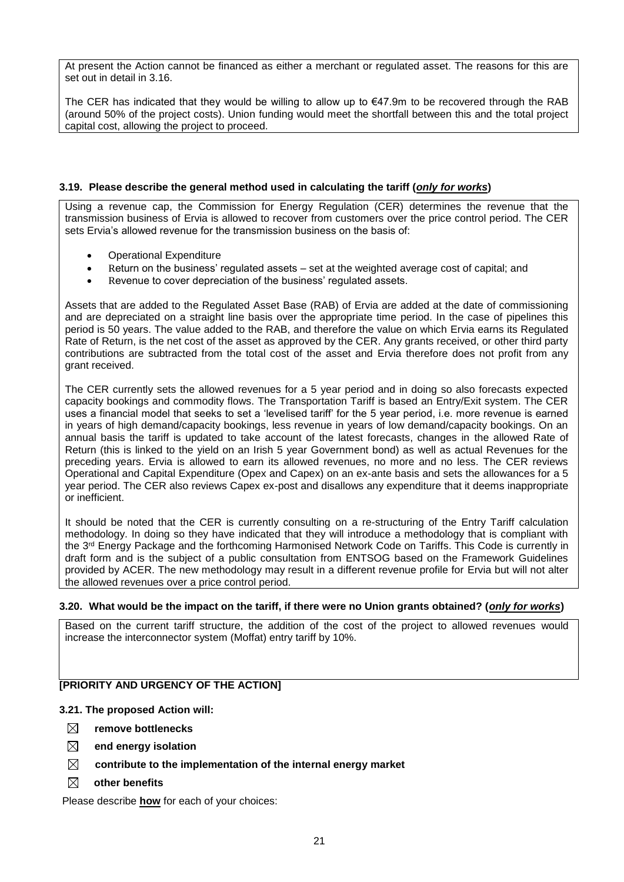At present the Action cannot be financed as either a merchant or regulated asset. The reasons for this are set out in detail in 3.16.

The CER has indicated that they would be willing to allow up to  $\epsilon$ 47.9m to be recovered through the RAB (around 50% of the project costs). Union funding would meet the shortfall between this and the total project capital cost, allowing the project to proceed.

#### **3.19. Please describe the general method used in calculating the tariff (***only for works***)**

Using a revenue cap, the Commission for Energy Regulation (CER) determines the revenue that the transmission business of Ervia is allowed to recover from customers over the price control period. The CER sets Ervia's allowed revenue for the transmission business on the basis of:

- Operational Expenditure
- Return on the business' regulated assets set at the weighted average cost of capital; and
- Revenue to cover depreciation of the business' regulated assets.

Assets that are added to the Regulated Asset Base (RAB) of Ervia are added at the date of commissioning and are depreciated on a straight line basis over the appropriate time period. In the case of pipelines this period is 50 years. The value added to the RAB, and therefore the value on which Ervia earns its Regulated Rate of Return, is the net cost of the asset as approved by the CER. Any grants received, or other third party contributions are subtracted from the total cost of the asset and Ervia therefore does not profit from any grant received.

The CER currently sets the allowed revenues for a 5 year period and in doing so also forecasts expected capacity bookings and commodity flows. The Transportation Tariff is based an Entry/Exit system. The CER uses a financial model that seeks to set a 'levelised tariff' for the 5 year period, i.e. more revenue is earned in years of high demand/capacity bookings, less revenue in years of low demand/capacity bookings. On an annual basis the tariff is updated to take account of the latest forecasts, changes in the allowed Rate of Return (this is linked to the yield on an Irish 5 year Government bond) as well as actual Revenues for the preceding years. Ervia is allowed to earn its allowed revenues, no more and no less. The CER reviews Operational and Capital Expenditure (Opex and Capex) on an ex-ante basis and sets the allowances for a 5 year period. The CER also reviews Capex ex-post and disallows any expenditure that it deems inappropriate or inefficient.

It should be noted that the CER is currently consulting on a re-structuring of the Entry Tariff calculation methodology. In doing so they have indicated that they will introduce a methodology that is compliant with the 3rd Energy Package and the forthcoming Harmonised Network Code on Tariffs. This Code is currently in draft form and is the subject of a public consultation from ENTSOG based on the Framework Guidelines provided by ACER. The new methodology may result in a different revenue profile for Ervia but will not alter the allowed revenues over a price control period.

#### **3.20. What would be the impact on the tariff, if there were no Union grants obtained? (***only for works***)**

Based on the current tariff structure, the addition of the cost of the project to allowed revenues would increase the interconnector system (Moffat) entry tariff by 10%.

#### **[PRIORITY AND URGENCY OF THE ACTION]**

#### **3.21. The proposed Action will:**

- **remove bottlenecks**
- **end energy isolation**
- **contribute to the implementation of the internal energy market**
- **other benefits**

Please describe **how** for each of your choices: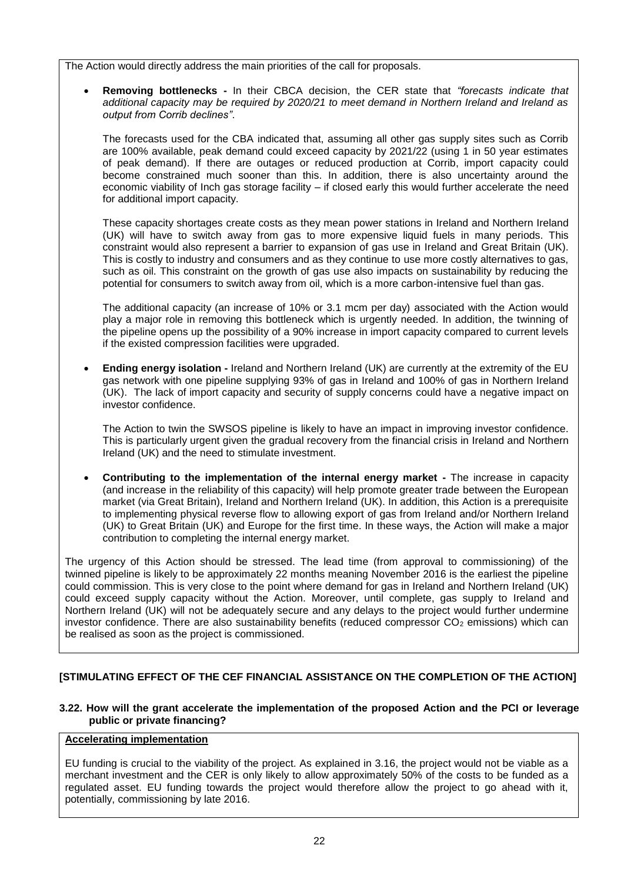The Action would directly address the main priorities of the call for proposals.

 **Removing bottlenecks -** In their CBCA decision, the CER state that *"forecasts indicate that additional capacity may be required by 2020/21 to meet demand in Northern Ireland and Ireland as output from Corrib declines"*.

The forecasts used for the CBA indicated that, assuming all other gas supply sites such as Corrib are 100% available, peak demand could exceed capacity by 2021/22 (using 1 in 50 year estimates of peak demand). If there are outages or reduced production at Corrib, import capacity could become constrained much sooner than this. In addition, there is also uncertainty around the economic viability of Inch gas storage facility – if closed early this would further accelerate the need for additional import capacity.

These capacity shortages create costs as they mean power stations in Ireland and Northern Ireland (UK) will have to switch away from gas to more expensive liquid fuels in many periods. This constraint would also represent a barrier to expansion of gas use in Ireland and Great Britain (UK). This is costly to industry and consumers and as they continue to use more costly alternatives to gas, such as oil. This constraint on the growth of gas use also impacts on sustainability by reducing the potential for consumers to switch away from oil, which is a more carbon-intensive fuel than gas.

The additional capacity (an increase of 10% or 3.1 mcm per day) associated with the Action would play a major role in removing this bottleneck which is urgently needed. In addition, the twinning of the pipeline opens up the possibility of a 90% increase in import capacity compared to current levels if the existed compression facilities were upgraded.

 **Ending energy isolation -** Ireland and Northern Ireland (UK) are currently at the extremity of the EU gas network with one pipeline supplying 93% of gas in Ireland and 100% of gas in Northern Ireland (UK). The lack of import capacity and security of supply concerns could have a negative impact on investor confidence.

The Action to twin the SWSOS pipeline is likely to have an impact in improving investor confidence. This is particularly urgent given the gradual recovery from the financial crisis in Ireland and Northern Ireland (UK) and the need to stimulate investment.

 **Contributing to the implementation of the internal energy market -** The increase in capacity (and increase in the reliability of this capacity) will help promote greater trade between the European market (via Great Britain), Ireland and Northern Ireland (UK). In addition, this Action is a prerequisite to implementing physical reverse flow to allowing export of gas from Ireland and/or Northern Ireland (UK) to Great Britain (UK) and Europe for the first time. In these ways, the Action will make a major contribution to completing the internal energy market.

The urgency of this Action should be stressed. The lead time (from approval to commissioning) of the twinned pipeline is likely to be approximately 22 months meaning November 2016 is the earliest the pipeline could commission. This is very close to the point where demand for gas in Ireland and Northern Ireland (UK) could exceed supply capacity without the Action. Moreover, until complete, gas supply to Ireland and Northern Ireland (UK) will not be adequately secure and any delays to the project would further undermine investor confidence. There are also sustainability benefits (reduced compressor CO<sub>2</sub> emissions) which can be realised as soon as the project is commissioned.

# **[STIMULATING EFFECT OF THE CEF FINANCIAL ASSISTANCE ON THE COMPLETION OF THE ACTION]**

# **3.22. How will the grant accelerate the implementation of the proposed Action and the PCI or leverage public or private financing?**

# **Accelerating implementation**

EU funding is crucial to the viability of the project. As explained in 3.16, the project would not be viable as a merchant investment and the CER is only likely to allow approximately 50% of the costs to be funded as a regulated asset. EU funding towards the project would therefore allow the project to go ahead with it, potentially, commissioning by late 2016.